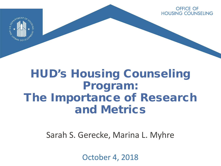OFFICE OF **HOUSING COUNSELING** 



# HUD's Housing Counseling Program: The Importance of Research and Metrics

Sarah S. Gerecke, Marina L. Myhre

October 4, 2018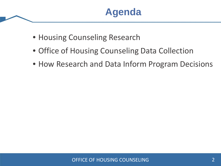- Housing Counseling Research
- Office of Housing Counseling Data Collection
- How Research and Data Inform Program Decisions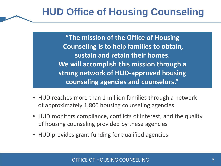**"The mission of the Office of Housing Counseling is to help families to obtain, sustain and retain their homes. We will accomplish this mission through a strong network of HUD-approved housing counseling agencies and counselors."**

- HUD reaches more than 1 million families through a network of approximately 1,800 housing counseling agencies
- HUD monitors compliance, conflicts of interest, and the quality of housing counseling provided by these agencies
- HUD provides grant funding for qualified agencies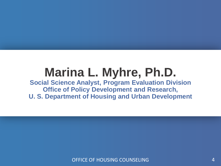# **Marina L. Myhre, Ph.D.**

**Social Science Analyst, Program Evaluation Division Office of Policy Development and Research, U. S. Department of Housing and Urban Development**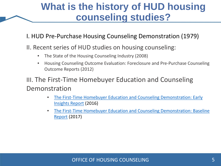## **What is the history of HUD housing counseling studies?**

#### I. HUD Pre-Purchase Housing Counseling Demonstration (1979)

- II. Recent series of HUD studies on housing counseling:
	- The State of the Housing Counseling Industry (2008)
	- Housing Counseling Outcome Evaluation: Foreclosure and Pre-Purchase Counseling Outcome Reports (2012)

III. The First-Time Homebuyer Education and Counseling Demonstration

- [The First-Time Homebuyer Education and Counseling Demonstration: Early](https://www.huduser.gov/portal/publications/first-homebuyer-early-insights.html) Insights Report (2016)
- [The First-Time Homebuyer Education and Counseling Demonstration: Baseline](https://www.huduser.gov/portal/publications/first-homebuyer-counseling.html)  Report (2017)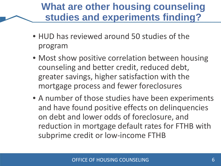## **What are other housing counseling studies and experiments finding?**

- HUD has reviewed around 50 studies of the program
- Most show positive correlation between housing counseling and better credit, reduced debt, greater savings, higher satisfaction with the mortgage process and fewer foreclosures
- A number of those studies have been experiments and have found positive effects on delinquencies on debt and lower odds of foreclosure, and reduction in mortgage default rates for FTHB with subprime credit or low-income FTHB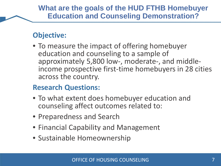#### **Objective:**

• To measure the impact of offering homebuyer education and counseling to a sample of<br>approximately 5,800 low-, moderate-, and middleincome prospective first-time homebuyers in 28 cities across the country.

#### **Research Questions:**

- To what extent does homebuyer education and counseling affect outcomes related to:
- Preparedness and Search
- Financial Capability and Management
- Sustainable Homeownership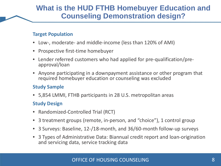#### **What is the HUD FTHB Homebuyer Education and Counseling Demonstration design?**

#### **Target Population**

- Low-, moderate- and middle-income (less than 120% of AMI)
- Prospective first-time homebuyer
- Lender referred customers who had applied for pre-qualification/pre- approval/loan
- Anyone participating in a downpayment assistance or other program that required homebuyer education or counseling was excluded

#### **Study Sample**

• 5,854 LMMI, FTHB participants in 28 U.S. metropolitan areas

#### **Study Design**

- Randomized-Controlled Trial (RCT)
- 3 treatment groups (remote, in-person, and "choice"), 1 control group
- 3 Surveys: Baseline, 12-/18-month, and 36/60-month follow-up surveys
- 3 Types of Administrative Data: Biannual credit report and loan-origination and servicing data, service tracking data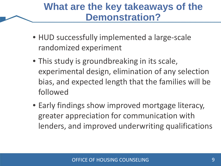## **What are the key takeaways of the Demonstration?**

- HUD successfully implemented a large-scale randomized experiment
- This study is groundbreaking in its scale, experimental design, elimination of any selection bias, and expected length that the families will be followed
- Early findings show improved mortgage literacy, greater appreciation for communication with lenders, and improved underwriting qualifications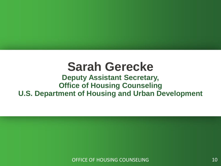# **Sarah Gerecke**

#### **Deputy Assistant Secretary, Office of Housing Counseling U.S. Department of Housing and Urban Development**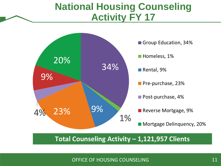### **National Housing Counseling Activity FY 17**



**Total Counseling Activity – 1,121,957 Clients**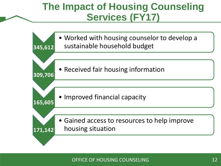## **The Impact of Housing Counseling Services (FY17)**

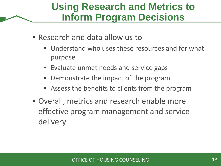## **Using Research and Metrics to Inform Program Decisions**

- Research and data allow us to
	- Understand who uses these resources and for what purpose
	- Evaluate unmet needs and service gaps
	- Demonstrate the impact of the program
	- Assess the benefits to clients from the program
- Overall, metrics and research enable more effective program management and service delivery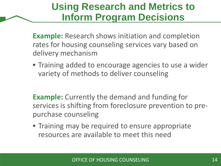## **Using Research and Metrics to Inform Program Decisions**

**Example:** Research shows initiation and completion rates for housing counseling services vary based on delivery mechanism

• Training added to encourage agencies to use a wider variety of methods to deliver counseling

**Example:** Currently the demand and funding for services is shifting from foreclosure prevention to prepurchase counseling

• Training may be required to ensure appropriate resources are available to meet this need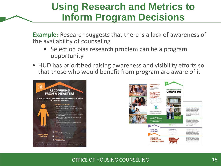## **Using Research and Metrics to Inform Program Decisions**

**Example:** Research suggests that there is a lack of awareness of the availability of counseling

- Selection bias research problem can be a program opportunity
- HUD has prioritized raising awareness and visibility efforts so that those who would benefit from program are aware of it



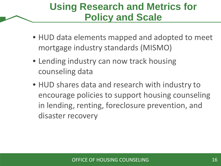## **Using Research and Metrics for Policy and Scale**

- HUD data elements mapped and adopted to meet mortgage industry standards (MISMO)
- Lending industry can now track housing counseling data
- HUD shares data and research with industry to encourage policies to support housing counseling in lending, renting, foreclosure prevention, and disaster recovery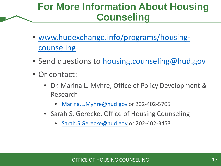## **For More Information About Housing Counseling**

- [www.hudexchange.info/programs/housing](http://www.hudexchange.info/programs/housing-counseling)counseling
- Send questions to [housing.counseling@hud.gov](mailto:housing.counseling@hud.gov)
- Or contact:
	- Dr. Marina L. Myhre, Office of Policy Development & Research
		- [Marina.L.Myhre@hud.gov](mailto:Marina.L.Myhre@hud.gov) or 202-402-5705
	- Sarah S. Gerecke, Office of Housing Counseling
		- [Sarah.S.Gerecke@hud.gov](mailto:Sarah.S.Gerecke@hud.gov) or 202-402-3453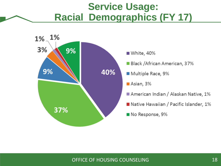### **Service Usage: Racial Demographics (FY 17)**

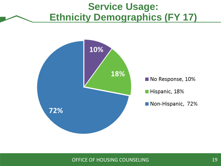### **Service Usage: Ethnicity Demographics (FY 17)**